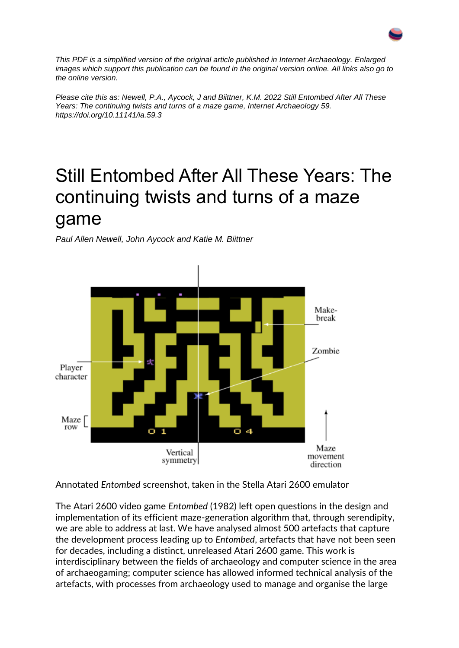

*This PDF is a simplified version of the original article published in Internet Archaeology. Enlarged images which support this publication can be found in the original version online. All links also go to the online version.*

*Please cite this as: Newell, P.A., Aycock, J and Biittner, K.M. 2022 Still Entombed After All These Years: The continuing twists and turns of a maze game, Internet Archaeology 59. https://doi.org/10.11141/ia.59.3*

#### Still Entombed After All These Years: The continuing twists and turns of a maze game

*Paul Allen Newell, John Aycock and Katie M. Biittner*



Annotated *Entombed* screenshot, taken in the Stella Atari 2600 emulator

The Atari 2600 video game *Entombed* (1982) left open questions in the design and implementation of its efficient maze-generation algorithm that, through serendipity, we are able to address at last. We have analysed almost 500 artefacts that capture the development process leading up to *Entombed*, artefacts that have not been seen for decades, including a distinct, unreleased Atari 2600 game. This work is interdisciplinary between the fields of archaeology and computer science in the area of archaeogaming; computer science has allowed informed technical analysis of the artefacts, with processes from archaeology used to manage and organise the large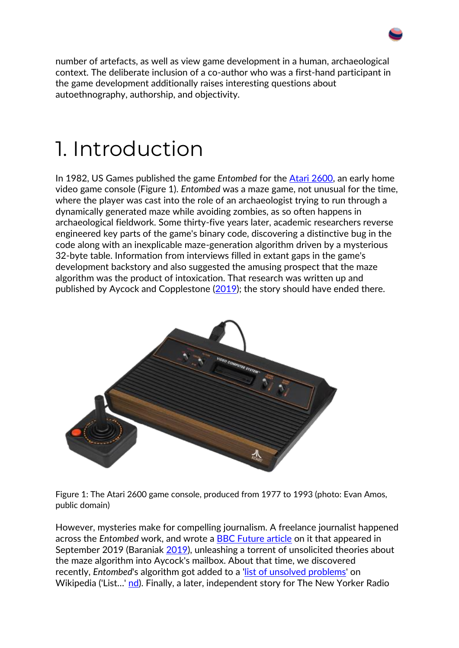number of artefacts, as well as view game development in a human, archaeological context. The deliberate inclusion of a co-author who was a first-hand participant in the game development additionally raises interesting questions about autoethnography, authorship, and objectivity.

#### 1. Introduction

In 1982, US Games published the game *Entombed* for the [Atari 2600,](https://en.wikipedia.org/wiki/Entombed_(Atari_2600)) an early home video game console (Figure 1). *Entombed* was a maze game, not unusual for the time, where the player was cast into the role of an archaeologist trying to run through a dynamically generated maze while avoiding zombies, as so often happens in archaeological fieldwork. Some thirty-five years later, academic researchers reverse engineered key parts of the game's binary code, discovering a distinctive bug in the code along with an inexplicable maze-generation algorithm driven by a mysterious 32-byte table. Information from interviews filled in extant gaps in the game's development backstory and also suggested the amusing prospect that the maze algorithm was the product of intoxication. That research was written up and published by Aycock and Copplestone [\(2019\)](https://intarch.ac.uk/journal/issue59/3/index.html#biblio); the story should have ended there.



Figure 1: The Atari 2600 game console, produced from 1977 to 1993 (photo: Evan Amos, public domain)

However, mysteries make for compelling journalism. A freelance journalist happened across the *Entombed* work, and wrote a [BBC Future article](https://www.bbc.com/future/article/20190919-the-maze-puzzle-hidden-within-an-early-video-game) on it that appeared in September 2019 (Baraniak [2019\)](https://intarch.ac.uk/journal/issue59/3/index.html#biblio), unleashing a torrent of unsolicited theories about the maze algorithm into Aycock's mailbox. About that time, we discovered recently, *Entombed*'s algorithm got added to a ['list of unsolved problems'](https://en.wikipedia.org/w/index.php?title=List_of_unsolved_problems_in_computer_science&oldid=1020697693) on Wikipedia ('List…' [nd\)](https://intarch.ac.uk/journal/issue59/3/index.html#biblio). Finally, a later, independent story for The New Yorker Radio

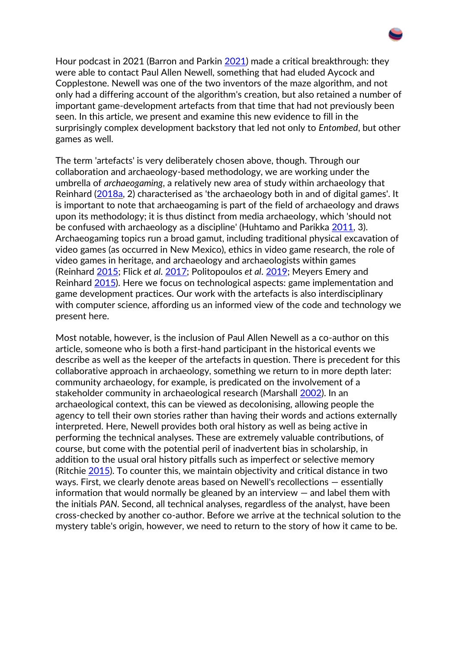Hour podcast in 2021 (Barron and Parkin [2021\)](https://intarch.ac.uk/journal/issue59/3/index.html#biblio) made a critical breakthrough: they were able to contact Paul Allen Newell, something that had eluded Aycock and Copplestone. Newell was one of the two inventors of the maze algorithm, and not only had a differing account of the algorithm's creation, but also retained a number of important game-development artefacts from that time that had not previously been seen. In this article, we present and examine this new evidence to fill in the surprisingly complex development backstory that led not only to *Entombed*, but other games as well.

The term 'artefacts' is very deliberately chosen above, though. Through our collaboration and archaeology-based methodology, we are working under the umbrella of *archaeogaming*, a relatively new area of study within archaeology that Reinhard [\(2018a,](https://intarch.ac.uk/journal/issue59/3/index.html#biblio) 2) characterised as 'the archaeology both in and of digital games'. It is important to note that archaeogaming is part of the field of archaeology and draws upon its methodology; it is thus distinct from media archaeology, which 'should not be confused with archaeology as a discipline' (Huhtamo and Parikka [2011,](https://intarch.ac.uk/journal/issue59/3/index.html#biblio) 3). Archaeogaming topics run a broad gamut, including traditional physical excavation of video games (as occurred in New Mexico), ethics in video game research, the role of video games in heritage, and archaeology and archaeologists within games (Reinhard [2015;](https://intarch.ac.uk/journal/issue59/3/index.html#biblio) Flick *et al*. [2017;](https://intarch.ac.uk/journal/issue59/3/index.html#biblio) Politopoulos *et al*. [2019;](https://intarch.ac.uk/journal/issue59/3/index.html#biblio) Meyers Emery and Reinhard [2015\)](https://intarch.ac.uk/journal/issue59/3/index.html#biblio). Here we focus on technological aspects: game implementation and game development practices. Our work with the artefacts is also interdisciplinary with computer science, affording us an informed view of the code and technology we present here.

Most notable, however, is the inclusion of Paul Allen Newell as a co-author on this article, someone who is both a first-hand participant in the historical events we describe as well as the keeper of the artefacts in question. There is precedent for this collaborative approach in archaeology, something we return to in more depth later: community archaeology, for example, is predicated on the involvement of a stakeholder community in archaeological research (Marshall [2002\)](https://intarch.ac.uk/journal/issue59/3/index.html#biblio). In an archaeological context, this can be viewed as decolonising, allowing people the agency to tell their own stories rather than having their words and actions externally interpreted. Here, Newell provides both oral history as well as being active in performing the technical analyses. These are extremely valuable contributions, of course, but come with the potential peril of inadvertent bias in scholarship, in addition to the usual oral history pitfalls such as imperfect or selective memory (Ritchie [2015\)](https://intarch.ac.uk/journal/issue59/3/index.html#biblio). To counter this, we maintain objectivity and critical distance in two ways. First, we clearly denote areas based on Newell's recollections — essentially information that would normally be gleaned by an interview — and label them with the initials *PAN*. Second, all technical analyses, regardless of the analyst, have been cross-checked by another co-author. Before we arrive at the technical solution to the mystery table's origin, however, we need to return to the story of how it came to be.

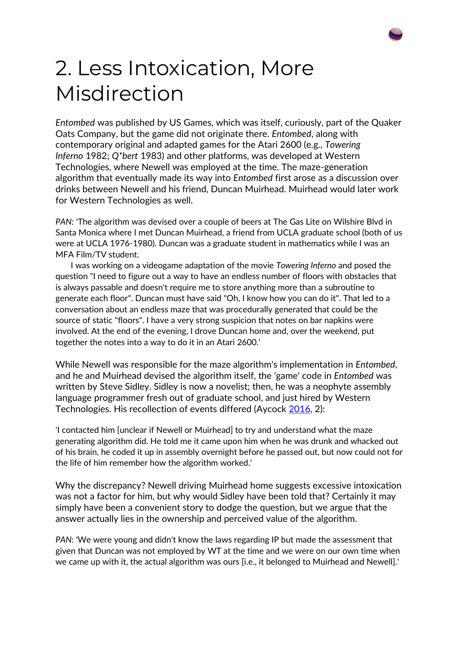

## 2. Less Intoxication, More Misdirection

*Entombed* was published by US Games, which was itself, curiously, part of the Quaker Oats Company, but the game did not originate there. *Entombed*, along with contemporary original and adapted games for the Atari 2600 (e.g., *Towering Inferno* 1982; *Q\*bert* 1983) and other platforms, was developed at Western Technologies, where Newell was employed at the time. The maze-generation algorithm that eventually made its way into *Entombed* first arose as a discussion over drinks between Newell and his friend, Duncan Muirhead. Muirhead would later work for Western Technologies as well.

*PAN*: 'The algorithm was devised over a couple of beers at The Gas Lite on Wilshire Blvd in Santa Monica where I met Duncan Muirhead, a friend from UCLA graduate school (both of us were at UCLA 1976-1980). Duncan was a graduate student in mathematics while I was an MFA Film/TV student.

 I was working on a videogame adaptation of the movie *Towering Inferno* and posed the question "I need to figure out a way to have an endless number of floors with obstacles that is always passable and doesn't require me to store anything more than a subroutine to generate each floor". Duncan must have said "Oh, I know how you can do it". That led to a conversation about an endless maze that was procedurally generated that could be the source of static "floors". I have a very strong suspicion that notes on bar napkins were involved. At the end of the evening, I drove Duncan home and, over the weekend, put together the notes into a way to do it in an Atari 2600.'

While Newell was responsible for the maze algorithm's implementation in *Entombed*, and he and Muirhead devised the algorithm itself, the 'game' code in *Entombed* was written by Steve Sidley. Sidley is now a novelist; then, he was a neophyte assembly language programmer fresh out of graduate school, and just hired by Western Technologies. His recollection of events differed (Aycock [2016,](https://intarch.ac.uk/journal/issue59/3/index.html#biblio) 2):

'I contacted him [unclear if Newell or Muirhead] to try and understand what the maze generating algorithm did. He told me it came upon him when he was drunk and whacked out of his brain, he coded it up in assembly overnight before he passed out, but now could not for the life of him remember how the algorithm worked.'

Why the discrepancy? Newell driving Muirhead home suggests excessive intoxication was not a factor for him, but why would Sidley have been told that? Certainly it may simply have been a convenient story to dodge the question, but we argue that the answer actually lies in the ownership and perceived value of the algorithm.

*PAN*: 'We were young and didn't know the laws regarding IP but made the assessment that given that Duncan was not employed by WT at the time and we were on our own time when we came up with it, the actual algorithm was ours [i.e., it belonged to Muirhead and Newell].'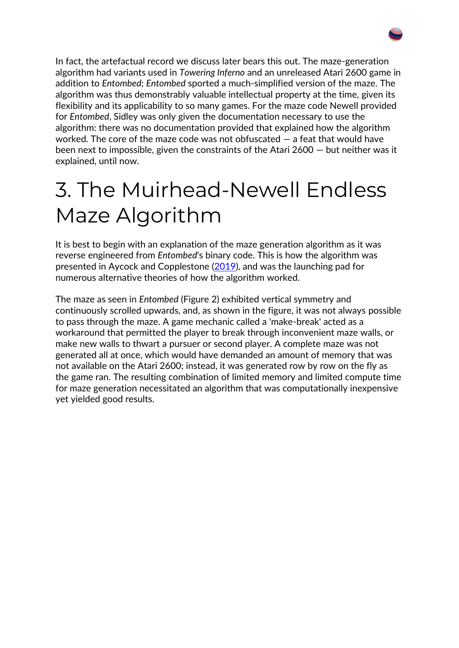

In fact, the artefactual record we discuss later bears this out. The maze-generation algorithm had variants used in *Towering Inferno* and an unreleased Atari 2600 game in addition to *Entombed*; *Entombed* sported a much-simplified version of the maze. The algorithm was thus demonstrably valuable intellectual property at the time, given its flexibility and its applicability to so many games. For the maze code Newell provided for *Entombed*, Sidley was only given the documentation necessary to use the algorithm: there was no documentation provided that explained how the algorithm worked. The core of the maze code was not obfuscated — a feat that would have been next to impossible, given the constraints of the Atari 2600 — but neither was it explained, until now.

## 3. The Muirhead-Newell Endless Maze Algorithm

It is best to begin with an explanation of the maze generation algorithm as it was reverse engineered from *Entombed*'s binary code. This is how the algorithm was presented in Aycock and Copplestone [\(2019\)](https://intarch.ac.uk/journal/issue59/3/index.html#biblio), and was the launching pad for numerous alternative theories of how the algorithm worked.

The maze as seen in *Entombed* (Figure 2) exhibited vertical symmetry and continuously scrolled upwards, and, as shown in the figure, it was not always possible to pass through the maze. A game mechanic called a 'make-break' acted as a workaround that permitted the player to break through inconvenient maze walls, or make new walls to thwart a pursuer or second player. A complete maze was not generated all at once, which would have demanded an amount of memory that was not available on the Atari 2600; instead, it was generated row by row on the fly as the game ran. The resulting combination of limited memory and limited compute time for maze generation necessitated an algorithm that was computationally inexpensive yet yielded good results.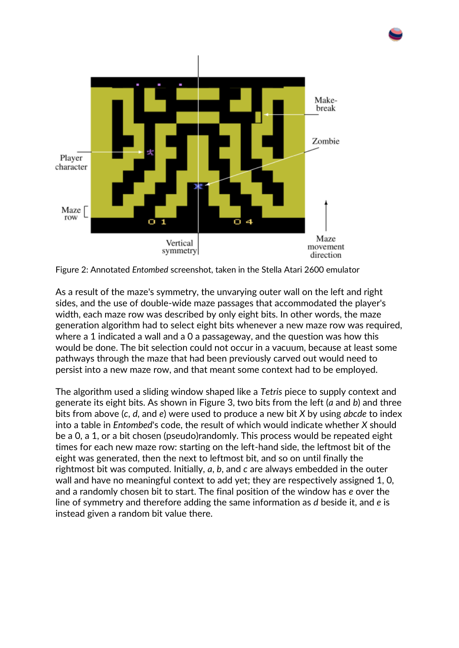

Figure 2: Annotated *Entombed* screenshot, taken in the Stella Atari 2600 emulator

As a result of the maze's symmetry, the unvarying outer wall on the left and right sides, and the use of double-wide maze passages that accommodated the player's width, each maze row was described by only eight bits. In other words, the maze generation algorithm had to select eight bits whenever a new maze row was required, where a 1 indicated a wall and a 0 a passageway, and the question was how this would be done. The bit selection could not occur in a vacuum, because at least some pathways through the maze that had been previously carved out would need to persist into a new maze row, and that meant some context had to be employed.

The algorithm used a sliding window shaped like a *Tetris* piece to supply context and generate its eight bits. As shown in Figure 3, two bits from the left (*a* and *b*) and three bits from above (*c*, *d*, and *e*) were used to produce a new bit *X* by using *abcde* to index into a table in *Entombed*'s code, the result of which would indicate whether *X* should be a 0, a 1, or a bit chosen (pseudo)randomly. This process would be repeated eight times for each new maze row: starting on the left-hand side, the leftmost bit of the eight was generated, then the next to leftmost bit, and so on until finally the rightmost bit was computed. Initially, *a*, *b*, and *c* are always embedded in the outer wall and have no meaningful context to add yet; they are respectively assigned 1, 0, and a randomly chosen bit to start. The final position of the window has *e* over the line of symmetry and therefore adding the same information as *d* beside it, and *e* is instead given a random bit value there.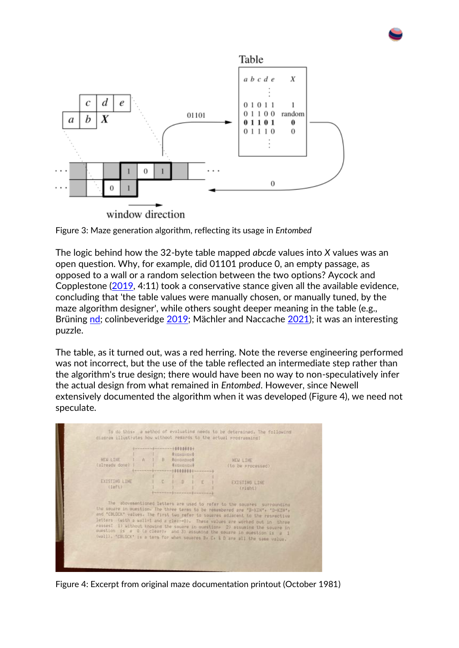

Figure 3: Maze generation algorithm, reflecting its usage in *Entombed*

The logic behind how the 32-byte table mapped *abcde* values into *X* values was an open question. Why, for example, did 01101 produce 0, an empty passage, as opposed to a wall or a random selection between the two options? Aycock and Copplestone [\(2019,](https://intarch.ac.uk/journal/issue59/3/index.html#biblio) 4:11) took a conservative stance given all the available evidence, concluding that 'the table values were manually chosen, or manually tuned, by the maze algorithm designer', while others sought deeper meaning in the table (e.g., Brüning [nd;](https://intarch.ac.uk/journal/issue59/3/index.html#biblio) colinbeveridge [2019;](https://intarch.ac.uk/journal/issue59/3/index.html#biblio) Mächler and Naccache [2021\)](https://intarch.ac.uk/journal/issue59/3/index.html#biblio); it was an interesting puzzle.

The table, as it turned out, was a red herring. Note the reverse engineering performed was not incorrect, but the use of the table reflected an intermediate step rather than the algorithm's true design; there would have been no way to non-speculatively infer the actual design from what remained in *Entombed*. However, since Newell extensively documented the algorithm when it was developed (Figure 4), we need not speculate.



Figure 4: Excerpt from original maze documentation printout (October 1981)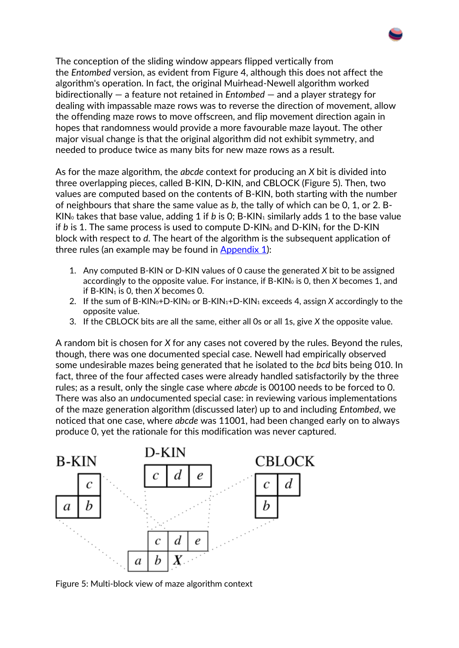The conception of the sliding window appears flipped vertically from the *Entombed* version, as evident from Figure 4, although this does not affect the algorithm's operation. In fact, the original Muirhead-Newell algorithm worked bidirectionally — a feature not retained in *Entombed* — and a player strategy for dealing with impassable maze rows was to reverse the direction of movement, allow the offending maze rows to move offscreen, and flip movement direction again in hopes that randomness would provide a more favourable maze layout. The other major visual change is that the original algorithm did not exhibit symmetry, and needed to produce twice as many bits for new maze rows as a result.

As for the maze algorithm, the *abcde* context for producing an *X* bit is divided into three overlapping pieces, called B-KIN, D-KIN, and CBLOCK (Figure 5). Then, two values are computed based on the contents of B-KIN, both starting with the number of neighbours that share the same value as *b*, the tally of which can be 0, 1, or 2. B-KIN<sub>0</sub> takes that base value, adding 1 if *b* is 0; B-KIN<sub>1</sub> similarly adds 1 to the base value if *b* is 1. The same process is used to compute  $D-KIN_0$  and  $D-KIN_1$  for the  $D-KIN$ block with respect to *d*. The heart of the algorithm is the subsequent application of three rules (an example may be found in [Appendix 1\)](https://intarch.ac.uk/journal/issue59/3/full-text.html#appendix1):

- 1. Any computed B-KIN or D-KIN values of 0 cause the generated *X* bit to be assigned accordingly to the opposite value. For instance, if B-KIN<sub>0</sub> is 0, then *X* becomes 1, and if B-KIN<sub>1</sub> is 0, then *X* becomes 0.
- 2. If the sum of B-KIN<sub>0</sub>+D-KIN<sub>0</sub> or B-KIN<sub>1</sub>+D-KIN<sub>1</sub> exceeds 4, assign *X* accordingly to the opposite value.
- 3. If the CBLOCK bits are all the same, either all 0s or all 1s, give *X* the opposite value.

A random bit is chosen for *X* for any cases not covered by the rules. Beyond the rules, though, there was one documented special case. Newell had empirically observed some undesirable mazes being generated that he isolated to the *bcd* bits being 010. In fact, three of the four affected cases were already handled satisfactorily by the three rules; as a result, only the single case where *abcde* is 00100 needs to be forced to 0. There was also an *un*documented special case: in reviewing various implementations of the maze generation algorithm (discussed later) up to and including *Entombed*, we noticed that one case, where *abcde* was 11001, had been changed early on to always produce 0, yet the rationale for this modification was never captured.



Figure 5: Multi-block view of maze algorithm context

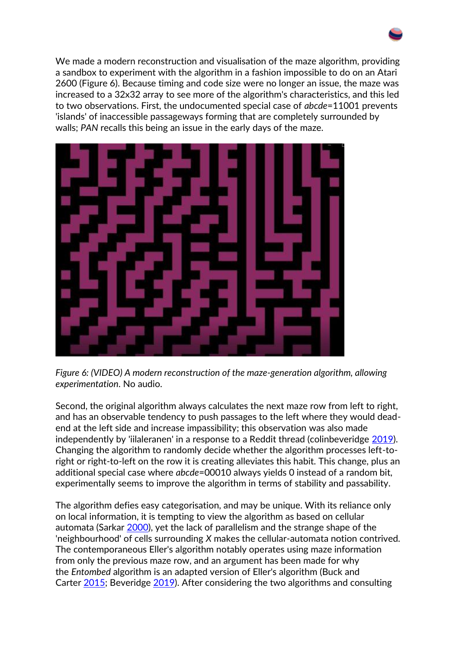We made a modern reconstruction and visualisation of the maze algorithm, providing a sandbox to experiment with the algorithm in a fashion impossible to do on an Atari 2600 (Figure 6). Because timing and code size were no longer an issue, the maze was increased to a 32x32 array to see more of the algorithm's characteristics, and this led to two observations. First, the undocumented special case of *abcde*=11001 prevents 'islands' of inaccessible passageways forming that are completely surrounded by walls; *PAN* recalls this being an issue in the early days of the maze.



*Figure 6: (VIDEO) A modern reconstruction of the maze-generation algorithm, allowing experimentation*. No audio.

Second, the original algorithm always calculates the next maze row from left to right, and has an observable tendency to push passages to the left where they would deadend at the left side and increase impassibility; this observation was also made independently by 'iilaleranen' in a response to a Reddit thread (colinbeveridge [2019\)](https://intarch.ac.uk/journal/issue59/3/index.html#biblio). Changing the algorithm to randomly decide whether the algorithm processes left-toright or right-to-left on the row it is creating alleviates this habit. This change, plus an additional special case where *abcde*=00010 always yields 0 instead of a random bit, experimentally seems to improve the algorithm in terms of stability and passability.

The algorithm defies easy categorisation, and may be unique. With its reliance only on local information, it is tempting to view the algorithm as based on cellular automata (Sarkar [2000\)](https://intarch.ac.uk/journal/issue59/3/index.html#biblio), yet the lack of parallelism and the strange shape of the 'neighbourhood' of cells surrounding *X* makes the cellular-automata notion contrived. The contemporaneous Eller's algorithm notably operates using maze information from only the previous maze row, and an argument has been made for why the *Entombed* algorithm is an adapted version of Eller's algorithm (Buck and Carter [2015;](https://intarch.ac.uk/journal/issue59/3/index.html#biblio) Beveridge [2019\)](https://intarch.ac.uk/journal/issue59/3/index.html#biblio). After considering the two algorithms and consulting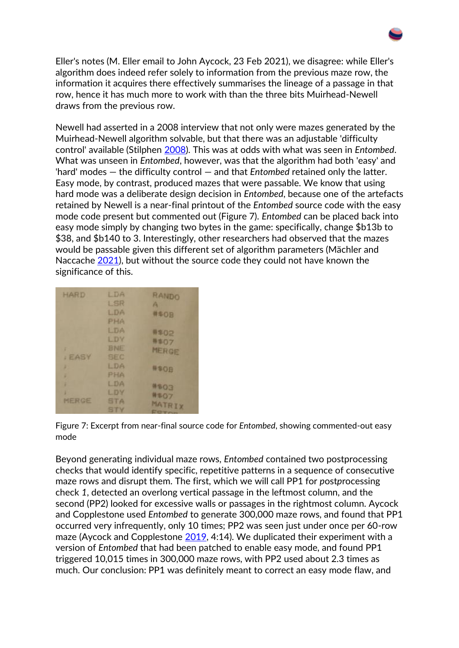Eller's notes (M. Eller email to John Aycock, 23 Feb 2021), we disagree: while Eller's algorithm does indeed refer solely to information from the previous maze row, the information it acquires there effectively summarises the lineage of a passage in that row, hence it has much more to work with than the three bits Muirhead-Newell draws from the previous row.

Newell had asserted in a 2008 interview that not only were mazes generated by the Muirhead-Newell algorithm solvable, but that there was an adjustable 'difficulty control' available (Stilphen [2008\)](https://intarch.ac.uk/journal/issue59/3/index.html#biblio). This was at odds with what was seen in *Entombed*. What was unseen in *Entombed*, however, was that the algorithm had both 'easy' and 'hard' modes — the difficulty control — and that *Entombed* retained only the latter. Easy mode, by contrast, produced mazes that were passable. We know that using hard mode was a deliberate design decision in *Entombed*, because one of the artefacts retained by Newell is a near-final printout of the *Entombed* source code with the easy mode code present but commented out (Figure 7). *Entombed* can be placed back into easy mode simply by changing two bytes in the game: specifically, change \$b13b to \$38, and \$b140 to 3. Interestingly, other researchers had observed that the mazes would be passable given this different set of algorithm parameters (Mächler and Naccache [2021\)](https://intarch.ac.uk/journal/issue59/3/index.html#biblio), but without the source code they could not have known the significance of this.

| HARD        | LDA        | RANDO          |
|-------------|------------|----------------|
|             | LSR        | A              |
|             | LDA        | #\$0B          |
|             | <b>PHA</b> |                |
|             | LDA        | #\$02          |
|             | LDY        | #\$07          |
| ı           | <b>BNE</b> | MERGE          |
| <b>EASY</b> | <b>SEC</b> |                |
| F           | LDA        | <b>#SOB</b>    |
| ı           | PHA        |                |
| ŧ           | <b>LDA</b> | #\$03          |
| ı           | LDY        | #\$07          |
| MERGE       | <b>STA</b> | MATRIX         |
|             | <b>STY</b> | <b>COMMAND</b> |

Figure 7: Excerpt from near-final source code for *Entombed*, showing commented-out easy mode

Beyond generating individual maze rows, *Entombed* contained two postprocessing checks that would identify specific, repetitive patterns in a sequence of consecutive maze rows and disrupt them. The first, which we will call PP1 for *p*ost*p*rocessing check *1*, detected an overlong vertical passage in the leftmost column, and the second (PP2) looked for excessive walls or passages in the rightmost column. Aycock and Copplestone used *Entombed* to generate 300,000 maze rows, and found that PP1 occurred very infrequently, only 10 times; PP2 was seen just under once per 60-row maze (Aycock and Copplestone [2019,](https://intarch.ac.uk/journal/issue59/3/index.html#biblio) 4:14). We duplicated their experiment with a version of *Entombed* that had been patched to enable easy mode, and found PP1 triggered 10,015 times in 300,000 maze rows, with PP2 used about 2.3 times as much. Our conclusion: PP1 was definitely meant to correct an easy mode flaw, and

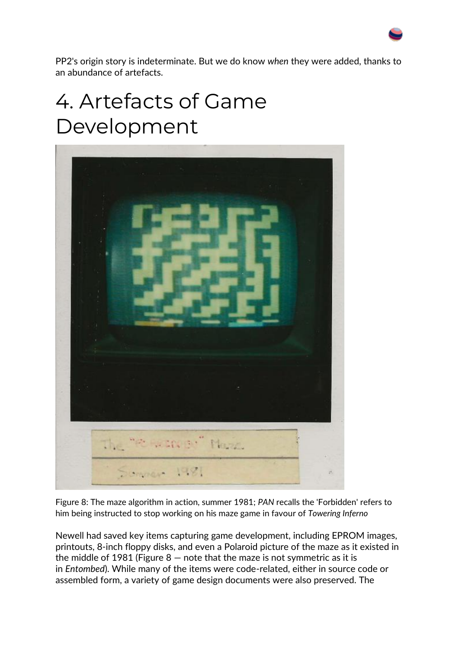PP2's origin story is indeterminate. But we do know *when* they were added, thanks to an abundance of artefacts.

## 4. Artefacts of Game Development



Figure 8: The maze algorithm in action, summer 1981; *PAN* recalls the 'Forbidden' refers to him being instructed to stop working on his maze game in favour of *Towering Inferno*

Newell had saved key items capturing game development, including EPROM images, printouts, 8-inch floppy disks, and even a Polaroid picture of the maze as it existed in the middle of 1981 (Figure  $8$  – note that the maze is not symmetric as it is in *Entombed*). While many of the items were code-related, either in source code or assembled form, a variety of game design documents were also preserved. The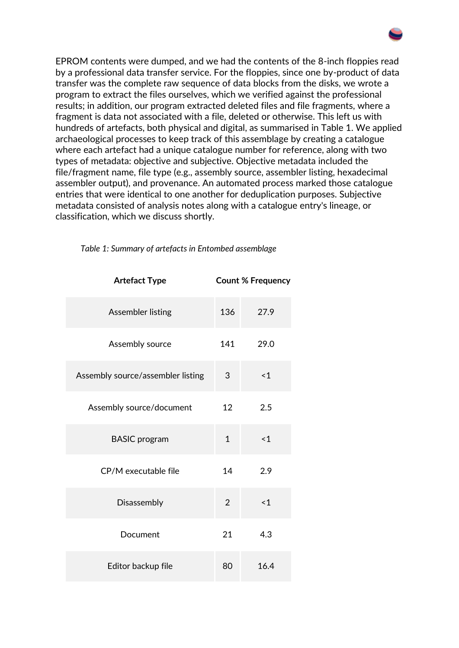EPROM contents were dumped, and we had the contents of the 8-inch floppies read by a professional data transfer service. For the floppies, since one by-product of data transfer was the complete raw sequence of data blocks from the disks, we wrote a program to extract the files ourselves, which we verified against the professional results; in addition, our program extracted deleted files and file fragments, where a fragment is data not associated with a file, deleted or otherwise. This left us with hundreds of artefacts, both physical and digital, as summarised in Table 1. We applied archaeological processes to keep track of this assemblage by creating a catalogue where each artefact had a unique catalogue number for reference, along with two types of metadata: objective and subjective. Objective metadata included the file/fragment name, file type (e.g., assembly source, assembler listing, hexadecimal assembler output), and provenance. An automated process marked those catalogue entries that were identical to one another for deduplication purposes. Subjective metadata consisted of analysis notes along with a catalogue entry's lineage, or classification, which we discuss shortly.

| <b>Artefact Type</b>              | <b>Count % Frequency</b> |          |
|-----------------------------------|--------------------------|----------|
| Assembler listing                 | 136                      | 27.9     |
| Assembly source                   | 141                      | 29.0     |
| Assembly source/assembler listing | 3                        | ~1       |
| Assembly source/document          | 12                       | 2.5      |
| <b>BASIC</b> program              | $\mathbf{1}$             | ~1       |
| CP/M executable file              | 14                       | 2.9      |
| Disassembly                       | $\overline{2}$           | $\leq 1$ |
| Document                          | 21                       | 4.3      |
| Editor backup file                | 80                       | 16.4     |

*Table 1: Summary of artefacts in Entombed assemblage*

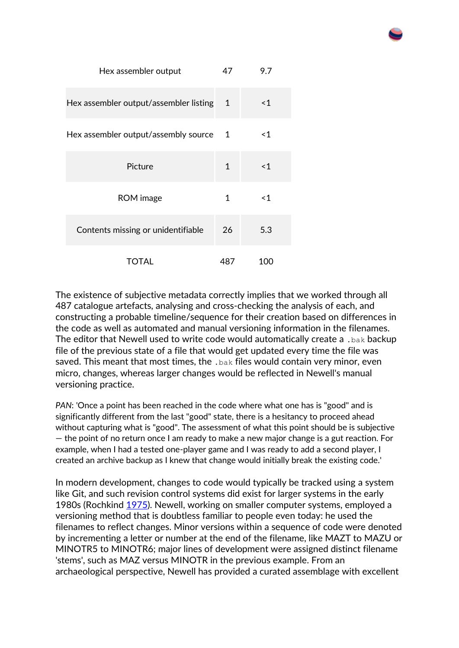| Hex assembler output                   |              | 9.7   |
|----------------------------------------|--------------|-------|
| Hex assembler output/assembler listing | 1            | <1    |
| Hex assembler output/assembly source   |              | ≺1    |
| Picture                                | $\mathbf{1}$ | ~1    |
| ROM image                              | 1            | $<$ 1 |
| Contents missing or unidentifiable     |              | 5.3   |
| <b>TOTAL</b>                           | 487          | 100   |

The existence of subjective metadata correctly implies that we worked through all 487 catalogue artefacts, analysing and cross-checking the analysis of each, and constructing a probable timeline/sequence for their creation based on differences in the code as well as automated and manual versioning information in the filenames. The editor that Newell used to write code would automatically create a .bak backup file of the previous state of a file that would get updated every time the file was saved. This meant that most times, the  $\Delta_{\rm{bak}}$  files would contain very minor, even micro, changes, whereas larger changes would be reflected in Newell's manual versioning practice.

*PAN*: 'Once a point has been reached in the code where what one has is "good" and is significantly different from the last "good" state, there is a hesitancy to proceed ahead without capturing what is "good". The assessment of what this point should be is subjective — the point of no return once I am ready to make a new major change is a gut reaction. For example, when I had a tested one-player game and I was ready to add a second player, I created an archive backup as I knew that change would initially break the existing code.'

In modern development, changes to code would typically be tracked using a system like Git, and such revision control systems did exist for larger systems in the early 1980s (Rochkind [1975\)](https://intarch.ac.uk/journal/issue59/3/index.html#biblio). Newell, working on smaller computer systems, employed a versioning method that is doubtless familiar to people even today: he used the filenames to reflect changes. Minor versions within a sequence of code were denoted by incrementing a letter or number at the end of the filename, like MAZT to MAZU or MINOTR5 to MINOTR6; major lines of development were assigned distinct filename 'stems', such as MAZ versus MINOTR in the previous example. From an archaeological perspective, Newell has provided a curated assemblage with excellent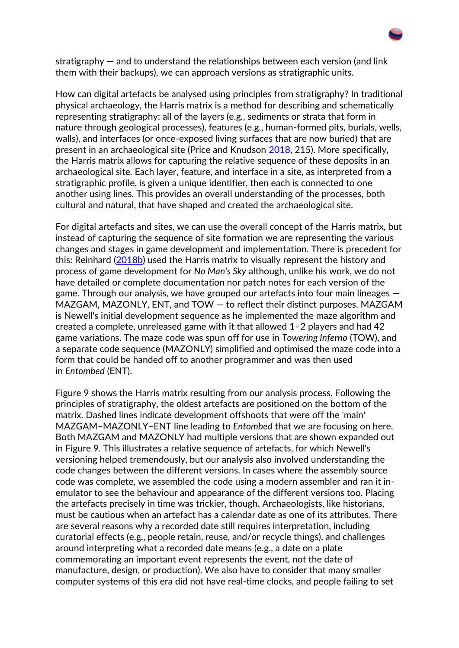

How can digital artefacts be analysed using principles from stratigraphy? In traditional physical archaeology, the Harris matrix is a method for describing and schematically representing stratigraphy: all of the layers (e.g., sediments or strata that form in nature through geological processes), features (e.g., human-formed pits, burials, wells, walls), and interfaces (or once-exposed living surfaces that are now buried) that are present in an archaeological site (Price and Knudson [2018,](https://intarch.ac.uk/journal/issue59/3/index.html#biblio) 215). More specifically, the Harris matrix allows for capturing the relative sequence of these deposits in an archaeological site. Each layer, feature, and interface in a site, as interpreted from a stratigraphic profile, is given a unique identifier, then each is connected to one another using lines. This provides an overall understanding of the processes, both cultural and natural, that have shaped and created the archaeological site.

For digital artefacts and sites, we can use the overall concept of the Harris matrix, but instead of capturing the sequence of site formation we are representing the various changes and stages in game development and implementation. There is precedent for this: Reinhard [\(2018b\)](https://intarch.ac.uk/journal/issue59/3/index.html#biblio) used the Harris matrix to visually represent the history and process of game development for *No Man's Sky* although, unlike his work, we do not have detailed or complete documentation nor patch notes for each version of the game. Through our analysis, we have grouped our artefacts into four main lineages — MAZGAM, MAZONLY, ENT, and TOW — to reflect their distinct purposes. MAZGAM is Newell's initial development sequence as he implemented the maze algorithm and created a complete, unreleased game with it that allowed 1–2 players and had 42 game variations. The maze code was spun off for use in *Towering Inferno* (TOW), and a separate code sequence (MAZONLY) simplified and optimised the maze code into a form that could be handed off to another programmer and was then used in *Entombed* (ENT).

Figure 9 shows the Harris matrix resulting from our analysis process. Following the principles of stratigraphy, the oldest artefacts are positioned on the bottom of the matrix. Dashed lines indicate development offshoots that were off the 'main' MAZGAM–MAZONLY–ENT line leading to *Entombed* that we are focusing on here. Both MAZGAM and MAZONLY had multiple versions that are shown expanded out in Figure 9. This illustrates a relative sequence of artefacts, for which Newell's versioning helped tremendously, but our analysis also involved understanding the code changes between the different versions. In cases where the assembly source code was complete, we assembled the code using a modern assembler and ran it inemulator to see the behaviour and appearance of the different versions too. Placing the artefacts precisely in time was trickier, though. Archaeologists, like historians, must be cautious when an artefact has a calendar date as one of its attributes. There are several reasons why a recorded date still requires interpretation, including curatorial effects (e.g., people retain, reuse, and/or recycle things), and challenges around interpreting what a recorded date means (e.g., a date on a plate commemorating an important event represents the event, not the date of manufacture, design, or production). We also have to consider that many smaller computer systems of this era did not have real-time clocks, and people failing to set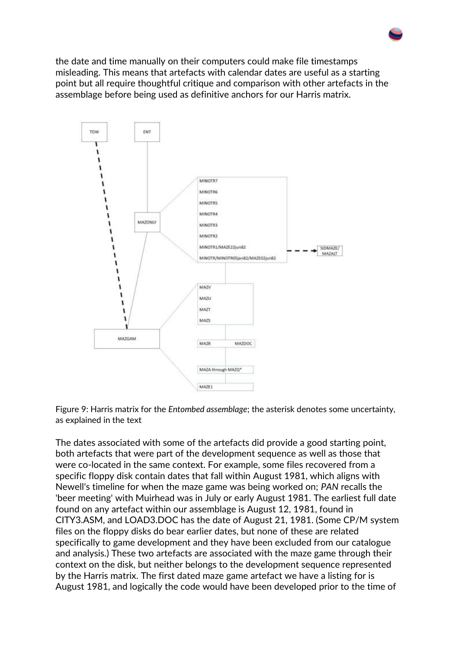the date and time manually on their computers could make file timestamps misleading. This means that artefacts with calendar dates are useful as a starting point but all require thoughtful critique and comparison with other artefacts in the assemblage before being used as definitive anchors for our Harris matrix.



Figure 9: Harris matrix for the *Entombed assemblage*; the asterisk denotes some uncertainty, as explained in the text

The dates associated with some of the artefacts did provide a good starting point, both artefacts that were part of the development sequence as well as those that were co-located in the same context. For example, some files recovered from a specific floppy disk contain dates that fall within August 1981, which aligns with Newell's timeline for when the maze game was being worked on; *PAN* recalls the 'beer meeting' with Muirhead was in July or early August 1981. The earliest full date found on any artefact within our assemblage is August 12, 1981, found in CITY3.ASM, and LOAD3.DOC has the date of August 21, 1981. (Some CP/M system files on the floppy disks do bear earlier dates, but none of these are related specifically to game development and they have been excluded from our catalogue and analysis.) These two artefacts are associated with the maze game through their context on the disk, but neither belongs to the development sequence represented by the Harris matrix. The first dated maze game artefact we have a listing for is August 1981, and logically the code would have been developed prior to the time of

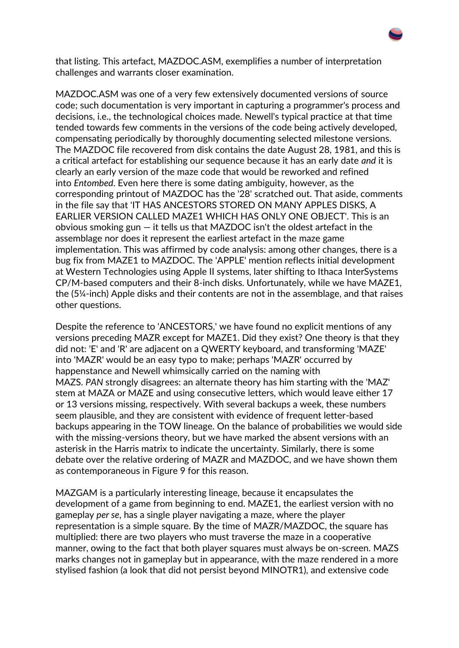that listing. This artefact, MAZDOC.ASM, exemplifies a number of interpretation challenges and warrants closer examination.

MAZDOC.ASM was one of a very few extensively documented versions of source code; such documentation is very important in capturing a programmer's process and decisions, i.e., the technological choices made. Newell's typical practice at that time tended towards few comments in the versions of the code being actively developed, compensating periodically by thoroughly documenting selected milestone versions. The MAZDOC file recovered from disk contains the date August 28, 1981, and this is a critical artefact for establishing our sequence because it has an early date *and* it is clearly an early version of the maze code that would be reworked and refined into *Entombed*. Even here there is some dating ambiguity, however, as the corresponding printout of MAZDOC has the '28' scratched out. That aside, comments in the file say that 'IT HAS ANCESTORS STORED ON MANY APPLES DISKS, A EARLIER VERSION CALLED MAZE1 WHICH HAS ONLY ONE OBJECT'. This is an obvious smoking gun — it tells us that MAZDOC isn't the oldest artefact in the assemblage nor does it represent the earliest artefact in the maze game implementation. This was affirmed by code analysis: among other changes, there is a bug fix from MAZE1 to MAZDOC. The 'APPLE' mention reflects initial development at Western Technologies using Apple II systems, later shifting to Ithaca InterSystems CP/M-based computers and their 8-inch disks. Unfortunately, while we have MAZE1, the (5¼-inch) Apple disks and their contents are not in the assemblage, and that raises other questions.

Despite the reference to 'ANCESTORS,' we have found no explicit mentions of any versions preceding MAZR except for MAZE1. Did they exist? One theory is that they did not: 'E' and 'R' are adjacent on a QWERTY keyboard, and transforming 'MAZE' into 'MAZR' would be an easy typo to make; perhaps 'MAZR' occurred by happenstance and Newell whimsically carried on the naming with MAZS. *PAN* strongly disagrees: an alternate theory has him starting with the 'MAZ' stem at MAZA or MAZE and using consecutive letters, which would leave either 17 or 13 versions missing, respectively. With several backups a week, these numbers seem plausible, and they are consistent with evidence of frequent letter-based backups appearing in the TOW lineage. On the balance of probabilities we would side with the missing-versions theory, but we have marked the absent versions with an asterisk in the Harris matrix to indicate the uncertainty. Similarly, there is some debate over the relative ordering of MAZR and MAZDOC, and we have shown them as contemporaneous in Figure 9 for this reason.

MAZGAM is a particularly interesting lineage, because it encapsulates the development of a game from beginning to end. MAZE1, the earliest version with no gameplay *per se*, has a single player navigating a maze, where the player representation is a simple square. By the time of MAZR/MAZDOC, the square has multiplied: there are two players who must traverse the maze in a cooperative manner, owing to the fact that both player squares must always be on-screen. MAZS marks changes not in gameplay but in appearance, with the maze rendered in a more stylised fashion (a look that did not persist beyond MINOTR1), and extensive code

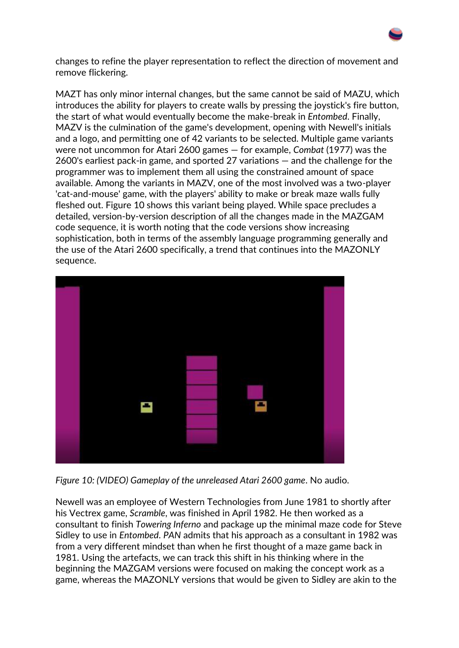changes to refine the player representation to reflect the direction of movement and remove flickering.

MAZT has only minor internal changes, but the same cannot be said of MAZU, which introduces the ability for players to create walls by pressing the joystick's fire button, the start of what would eventually become the make-break in *Entombed*. Finally, MAZV is the culmination of the game's development, opening with Newell's initials and a logo, and permitting one of 42 variants to be selected. Multiple game variants were not uncommon for Atari 2600 games — for example, *Combat* (1977) was the 2600's earliest pack-in game, and sported 27 variations — and the challenge for the programmer was to implement them all using the constrained amount of space available. Among the variants in MAZV, one of the most involved was a two-player 'cat-and-mouse' game, with the players' ability to make or break maze walls fully fleshed out. Figure 10 shows this variant being played. While space precludes a detailed, version-by-version description of all the changes made in the MAZGAM code sequence, it is worth noting that the code versions show increasing sophistication, both in terms of the assembly language programming generally and the use of the Atari 2600 specifically, a trend that continues into the MAZONLY sequence.



*Figure 10: (VIDEO) Gameplay of the unreleased Atari 2600 game*. No audio.

Newell was an employee of Western Technologies from June 1981 to shortly after his Vectrex game, *Scramble*, was finished in April 1982. He then worked as a consultant to finish *Towering Inferno* and package up the minimal maze code for Steve Sidley to use in *Entombed*. *PAN* admits that his approach as a consultant in 1982 was from a very different mindset than when he first thought of a maze game back in 1981. Using the artefacts, we can track this shift in his thinking where in the beginning the MAZGAM versions were focused on making the concept work as a game, whereas the MAZONLY versions that would be given to Sidley are akin to the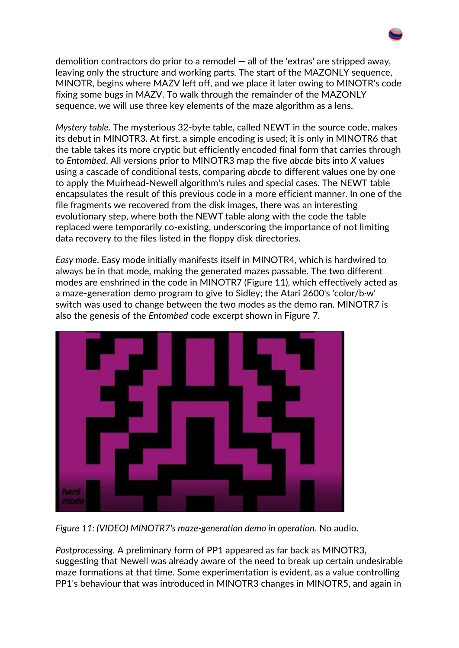demolition contractors do prior to a remodel — all of the 'extras' are stripped away, leaving only the structure and working parts. The start of the MAZONLY sequence, MINOTR, begins where MAZV left off, and we place it later owing to MINOTR's code fixing some bugs in MAZV. To walk through the remainder of the MAZONLY sequence, we will use three key elements of the maze algorithm as a lens.

*Mystery table*. The mysterious 32-byte table, called NEWT in the source code, makes its debut in MINOTR3. At first, a simple encoding is used; it is only in MINOTR6 that the table takes its more cryptic but efficiently encoded final form that carries through to *Entombed*. All versions prior to MINOTR3 map the five *abcde* bits into *X* values using a cascade of conditional tests, comparing *abcde* to different values one by one to apply the Muirhead-Newell algorithm's rules and special cases. The NEWT table encapsulates the result of this previous code in a more efficient manner. In one of the file fragments we recovered from the disk images, there was an interesting evolutionary step, where both the NEWT table along with the code the table replaced were temporarily co-existing, underscoring the importance of not limiting data recovery to the files listed in the floppy disk directories.

*Easy mode*. Easy mode initially manifests itself in MINOTR4, which is hardwired to always be in that mode, making the generated mazes passable. The two different modes are enshrined in the code in MINOTR7 (Figure 11), which effectively acted as a maze-generation demo program to give to Sidley; the Atari 2600's 'color/b∙w' switch was used to change between the two modes as the demo ran. MINOTR7 is also the genesis of the *Entombed* code excerpt shown in Figure 7.



*Figure 11: (VIDEO) MINOTR7's maze-generation demo in operation*. No audio.

*Postprocessing*. A preliminary form of PP1 appeared as far back as MINOTR3, suggesting that Newell was already aware of the need to break up certain undesirable maze formations at that time. Some experimentation is evident, as a value controlling PP1's behaviour that was introduced in MINOTR3 changes in MINOTR5, and again in

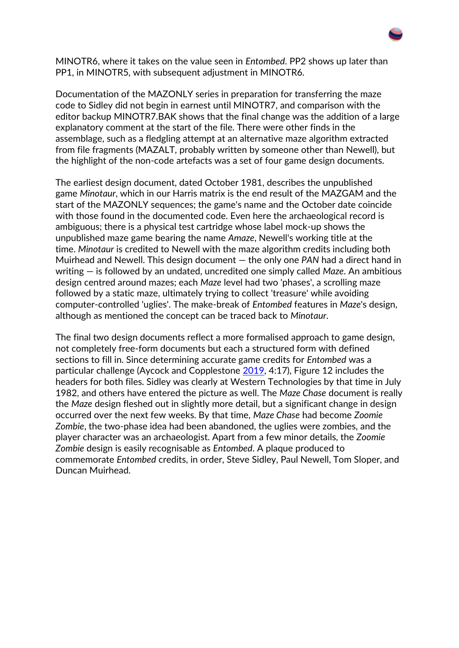MINOTR6, where it takes on the value seen in *Entombed*. PP2 shows up later than PP1, in MINOTR5, with subsequent adjustment in MINOTR6.

Documentation of the MAZONLY series in preparation for transferring the maze code to Sidley did not begin in earnest until MINOTR7, and comparison with the editor backup MINOTR7.BAK shows that the final change was the addition of a large explanatory comment at the start of the file. There were other finds in the assemblage, such as a fledgling attempt at an alternative maze algorithm extracted from file fragments (MAZALT, probably written by someone other than Newell), but the highlight of the non-code artefacts was a set of four game design documents.

The earliest design document, dated October 1981, describes the unpublished game *Minotaur*, which in our Harris matrix is the end result of the MAZGAM and the start of the MAZONLY sequences; the game's name and the October date coincide with those found in the documented code. Even here the archaeological record is ambiguous; there is a physical test cartridge whose label mock-up shows the unpublished maze game bearing the name *Amaze*, Newell's working title at the time. *Minotaur* is credited to Newell with the maze algorithm credits including both Muirhead and Newell. This design document — the only one *PAN* had a direct hand in writing — is followed by an undated, uncredited one simply called *Maze*. An ambitious design centred around mazes; each *Maze* level had two 'phases', a scrolling maze followed by a static maze, ultimately trying to collect 'treasure' while avoiding computer-controlled 'uglies'. The make-break of *Entombed* features in *Maze*'s design, although as mentioned the concept can be traced back to *Minotaur*.

The final two design documents reflect a more formalised approach to game design, not completely free-form documents but each a structured form with defined sections to fill in. Since determining accurate game credits for *Entombed* was a particular challenge (Aycock and Copplestone [2019,](https://intarch.ac.uk/journal/issue59/3/index.html#biblio) 4:17), Figure 12 includes the headers for both files. Sidley was clearly at Western Technologies by that time in July 1982, and others have entered the picture as well. The *Maze Chase* document is really the *Maze* design fleshed out in slightly more detail, but a significant change in design occurred over the next few weeks. By that time, *Maze Chase* had become *Zoomie Zombie*, the two-phase idea had been abandoned, the uglies were zombies, and the player character was an archaeologist. Apart from a few minor details, the *Zoomie Zombie* design is easily recognisable as *Entombed*. A plaque produced to commemorate *Entombed* credits, in order, Steve Sidley, Paul Newell, Tom Sloper, and Duncan Muirhead.

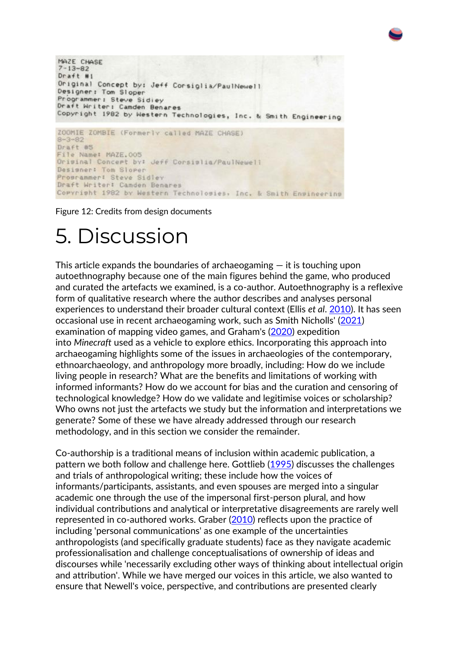```
MAZE CHASE
7 - 13 - 82Draft #1
Original Concept by: Jeff Corsiglia/PaulNewell
Designer: Tom Sloper
Programmer: Steve Sidiey
Draft Writer: Camden Benares
Copyright 1982 by Western Technologies, Inc. & Smith Engineering
ZOOMIE ZOMBIE (Formerly called MAZE CHASE)
8 - 3 - 82Draft #5
File Name: MAZE.005
Original Concept by: Jeff Corsislia/PaulNewell
Designer: Tom Sloper
Proprammer! Steve Sidley
Draft Writer: Camden Benares
Commright 1982 by Western Technologies, Inc. & Smith Engineering
```
Figure 12: Credits from design documents

### 5. Discussion

This article expands the boundaries of archaeogaming  $-$  it is touching upon autoethnography because one of the main figures behind the game, who produced and curated the artefacts we examined, is a co-author. Autoethnography is a reflexive form of qualitative research where the author describes and analyses personal experiences to understand their broader cultural context (Ellis *et al*. [2010\)](https://intarch.ac.uk/journal/issue59/3/index.html#biblio). It has seen occasional use in recent archaeogaming work, such as Smith Nicholls' [\(2021\)](https://intarch.ac.uk/journal/issue59/3/index.html#biblio) examination of mapping video games, and Graham's [\(2020\)](https://intarch.ac.uk/journal/issue59/3/index.html#biblio) expedition into *Minecraft* used as a vehicle to explore ethics. Incorporating this approach into archaeogaming highlights some of the issues in archaeologies of the contemporary, ethnoarchaeology, and anthropology more broadly, including: How do we include living people in research? What are the benefits and limitations of working with informed informants? How do we account for bias and the curation and censoring of technological knowledge? How do we validate and legitimise voices or scholarship? Who owns not just the artefacts we study but the information and interpretations we generate? Some of these we have already addressed through our research methodology, and in this section we consider the remainder.

Co-authorship is a traditional means of inclusion within academic publication, a pattern we both follow and challenge here. Gottlieb [\(1995\)](https://intarch.ac.uk/journal/issue59/3/index.html#biblio) discusses the challenges and trials of anthropological writing; these include how the voices of informants/participants, assistants, and even spouses are merged into a singular academic one through the use of the impersonal first-person plural, and how individual contributions and analytical or interpretative disagreements are rarely well represented in co-authored works. Graber [\(2010\)](https://intarch.ac.uk/journal/issue59/3/index.html#biblio) reflects upon the practice of including 'personal communications' as one example of the uncertainties anthropologists (and specifically graduate students) face as they navigate academic professionalisation and challenge conceptualisations of ownership of ideas and discourses while 'necessarily excluding other ways of thinking about intellectual origin and attribution'. While we have merged our voices in this article, we also wanted to ensure that Newell's voice, perspective, and contributions are presented clearly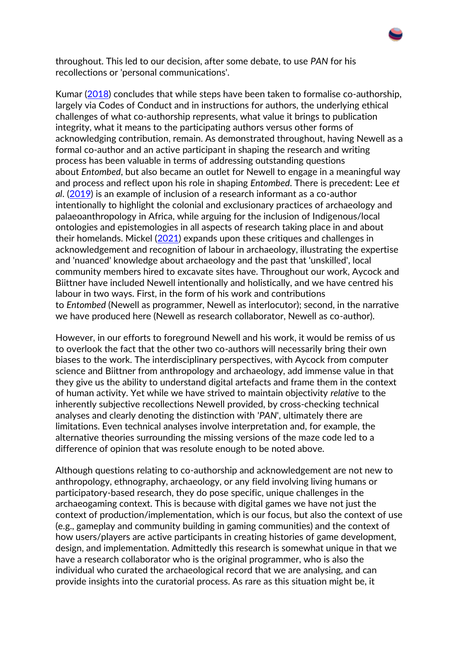throughout. This led to our decision, after some debate, to use *PAN* for his recollections or 'personal communications'.

Kumar [\(2018\)](https://intarch.ac.uk/journal/issue59/3/index.html#biblio) concludes that while steps have been taken to formalise co-authorship, largely via Codes of Conduct and in instructions for authors, the underlying ethical challenges of what co-authorship represents, what value it brings to publication integrity, what it means to the participating authors versus other forms of acknowledging contribution, remain. As demonstrated throughout, having Newell as a formal co-author and an active participant in shaping the research and writing process has been valuable in terms of addressing outstanding questions about *Entombed*, but also became an outlet for Newell to engage in a meaningful way and process and reflect upon his role in shaping *Entombed*. There is precedent: Lee *et al*. [\(2019\)](https://intarch.ac.uk/journal/issue59/3/index.html#biblio) is an example of inclusion of a research informant as a co-author intentionally to highlight the colonial and exclusionary practices of archaeology and palaeoanthropology in Africa, while arguing for the inclusion of Indigenous/local ontologies and epistemologies in all aspects of research taking place in and about their homelands. Mickel [\(2021\)](https://intarch.ac.uk/journal/issue59/3/index.html#biblio) expands upon these critiques and challenges in acknowledgement and recognition of labour in archaeology, illustrating the expertise and 'nuanced' knowledge about archaeology and the past that 'unskilled', local community members hired to excavate sites have. Throughout our work, Aycock and Biittner have included Newell intentionally and holistically, and we have centred his labour in two ways. First, in the form of his work and contributions to *Entombed* (Newell as programmer, Newell as interlocutor); second, in the narrative we have produced here (Newell as research collaborator, Newell as co-author).

However, in our efforts to foreground Newell and his work, it would be remiss of us to overlook the fact that the other two co-authors will necessarily bring their own biases to the work. The interdisciplinary perspectives, with Aycock from computer science and Biittner from anthropology and archaeology, add immense value in that they give us the ability to understand digital artefacts and frame them in the context of human activity. Yet while we have strived to maintain objectivity *relative* to the inherently subjective recollections Newell provided, by cross-checking technical analyses and clearly denoting the distinction with '*PAN*', ultimately there are limitations. Even technical analyses involve interpretation and, for example, the alternative theories surrounding the missing versions of the maze code led to a difference of opinion that was resolute enough to be noted above.

Although questions relating to co-authorship and acknowledgement are not new to anthropology, ethnography, archaeology, or any field involving living humans or participatory-based research, they do pose specific, unique challenges in the archaeogaming context. This is because with digital games we have not just the context of production/implementation, which is our focus, but also the context of use (e.g., gameplay and community building in gaming communities) and the context of how users/players are active participants in creating histories of game development, design, and implementation. Admittedly this research is somewhat unique in that we have a research collaborator who is the original programmer, who is also the individual who curated the archaeological record that we are analysing, and can provide insights into the curatorial process. As rare as this situation might be, it

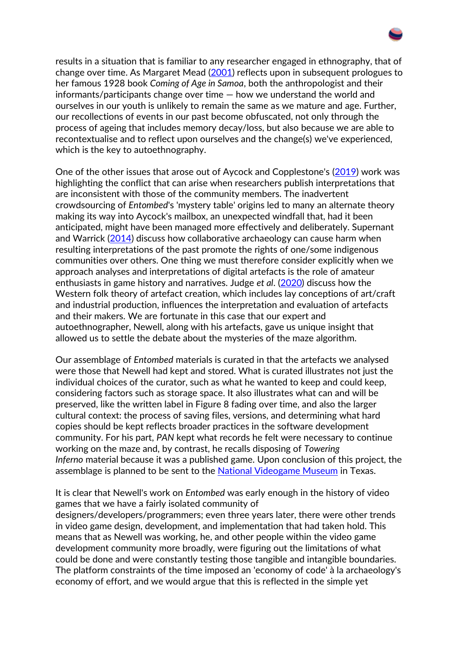results in a situation that is familiar to any researcher engaged in ethnography, that of change over time. As Margaret Mead [\(2001\)](https://intarch.ac.uk/journal/issue59/3/index.html#biblio) reflects upon in subsequent prologues to her famous 1928 book *Coming of Age in Samoa*, both the anthropologist and their informants/participants change over time — how we understand the world and ourselves in our youth is unlikely to remain the same as we mature and age. Further, our recollections of events in our past become obfuscated, not only through the process of ageing that includes memory decay/loss, but also because we are able to recontextualise and to reflect upon ourselves and the change(s) we've experienced, which is the key to autoethnography.

One of the other issues that arose out of Aycock and Copplestone's [\(2019\)](https://intarch.ac.uk/journal/issue59/3/index.html#biblio) work was highlighting the conflict that can arise when researchers publish interpretations that are inconsistent with those of the community members. The inadvertent crowdsourcing of *Entombed*'s 'mystery table' origins led to many an alternate theory making its way into Aycock's mailbox, an unexpected windfall that, had it been anticipated, might have been managed more effectively and deliberately. Supernant and Warrick [\(2014\)](https://intarch.ac.uk/journal/issue59/3/index.html#biblio) discuss how collaborative archaeology can cause harm when resulting interpretations of the past promote the rights of one/some indigenous communities over others. One thing we must therefore consider explicitly when we approach analyses and interpretations of digital artefacts is the role of amateur enthusiasts in game history and narratives. Judge *et al*. [\(2020\)](https://intarch.ac.uk/journal/issue59/3/index.html#biblio) discuss how the Western folk theory of artefact creation, which includes lay conceptions of art/craft and industrial production, influences the interpretation and evaluation of artefacts and their makers. We are fortunate in this case that our expert and autoethnographer, Newell, along with his artefacts, gave us unique insight that allowed us to settle the debate about the mysteries of the maze algorithm.

Our assemblage of *Entombed* materials is curated in that the artefacts we analysed were those that Newell had kept and stored. What is curated illustrates not just the individual choices of the curator, such as what he wanted to keep and could keep, considering factors such as storage space. It also illustrates what can and will be preserved, like the written label in Figure 8 fading over time, and also the larger cultural context: the process of saving files, versions, and determining what hard copies should be kept reflects broader practices in the software development community. For his part, *PAN* kept what records he felt were necessary to continue working on the maze and, by contrast, he recalls disposing of *Towering Inferno* material because it was a published game. Upon conclusion of this project, the assemblage is planned to be sent to the [National Videogame Museum](http://nvmusa.org/) in Texas.

It is clear that Newell's work on *Entombed* was early enough in the history of video games that we have a fairly isolated community of designers/developers/programmers; even three years later, there were other trends in video game design, development, and implementation that had taken hold. This means that as Newell was working, he, and other people within the video game development community more broadly, were figuring out the limitations of what could be done and were constantly testing those tangible and intangible boundaries. The platform constraints of the time imposed an 'economy of code' à la archaeology's economy of effort, and we would argue that this is reflected in the simple yet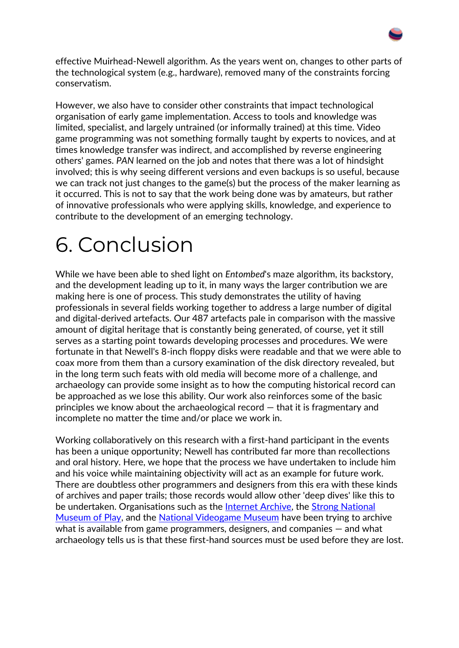effective Muirhead-Newell algorithm. As the years went on, changes to other parts of the technological system (e.g., hardware), removed many of the constraints forcing conservatism.

However, we also have to consider other constraints that impact technological organisation of early game implementation. Access to tools and knowledge was limited, specialist, and largely untrained (or informally trained) at this time. Video game programming was not something formally taught by experts to novices, and at times knowledge transfer was indirect, and accomplished by reverse engineering others' games. *PAN* learned on the job and notes that there was a lot of hindsight involved; this is why seeing different versions and even backups is so useful, because we can track not just changes to the game(s) but the process of the maker learning as it occurred. This is not to say that the work being done was by amateurs, but rather of innovative professionals who were applying skills, knowledge, and experience to contribute to the development of an emerging technology.

## 6. Conclusion

While we have been able to shed light on *Entombed*'s maze algorithm, its backstory, and the development leading up to it, in many ways the larger contribution we are making here is one of process. This study demonstrates the utility of having professionals in several fields working together to address a large number of digital and digital-derived artefacts. Our 487 artefacts pale in comparison with the massive amount of digital heritage that is constantly being generated, of course, yet it still serves as a starting point towards developing processes and procedures. We were fortunate in that Newell's 8-inch floppy disks were readable and that we were able to coax more from them than a cursory examination of the disk directory revealed, but in the long term such feats with old media will become more of a challenge, and archaeology can provide some insight as to how the computing historical record can be approached as we lose this ability. Our work also reinforces some of the basic principles we know about the archaeological record — that it is fragmentary and incomplete no matter the time and/or place we work in.

Working collaboratively on this research with a first-hand participant in the events has been a unique opportunity; Newell has contributed far more than recollections and oral history. Here, we hope that the process we have undertaken to include him and his voice while maintaining objectivity will act as an example for future work. There are doubtless other programmers and designers from this era with these kinds of archives and paper trails; those records would allow other 'deep dives' like this to be undertaken. Organisations such as the **Internet Archive**, the Strong National [Museum of Play,](https://www.museumofplay.org/) and the [National Videogame Museum](http://nvmusa.org/) have been trying to archive what is available from game programmers, designers, and companies — and what archaeology tells us is that these first-hand sources must be used before they are lost.

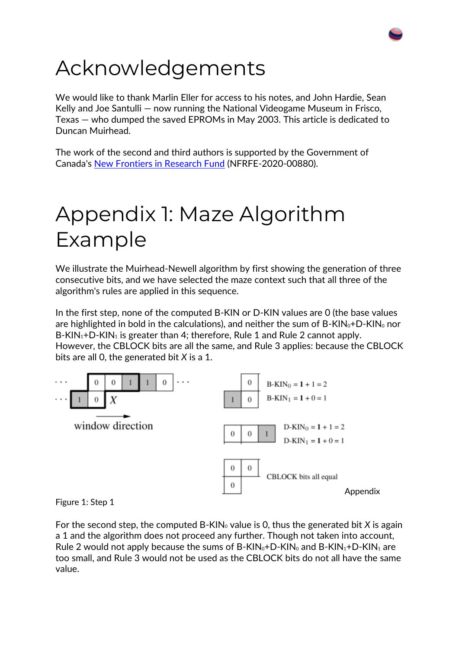## Acknowledgements

We would like to thank Marlin Eller for access to his notes, and John Hardie, Sean Kelly and Joe Santulli — now running the National Videogame Museum in Frisco, Texas — who dumped the saved EPROMs in May 2003. This article is dedicated to Duncan Muirhead.

The work of the second and third authors is supported by the Government of Canada's [New Frontiers in Research Fund](https://www.sshrc-crsh.gc.ca/funding-financement/nfrf-fnfr/index-eng.aspx) (NFRFE-2020-00880).

## Appendix 1: Maze Algorithm Example

We illustrate the Muirhead-Newell algorithm by first showing the generation of three consecutive bits, and we have selected the maze context such that all three of the algorithm's rules are applied in this sequence.

In the first step, none of the computed B-KIN or D-KIN values are 0 (the base values are highlighted in bold in the calculations), and neither the sum of  $B-KIN_0+D-KIN_0$  nor  $B-KIN_1+D-KIN_1$  is greater than 4; therefore, Rule 1 and Rule 2 cannot apply. However, the CBLOCK bits are all the same, and Rule 3 applies: because the CBLOCK bits are all 0, the generated bit *X* is a 1.



Figure 1: Step 1

For the second step, the computed B-KIN<sub>0</sub> value is 0, thus the generated bit *X* is again a 1 and the algorithm does not proceed any further. Though not taken into account, Rule 2 would not apply because the sums of B-KIN<sub>0</sub>+D-KIN<sub>0</sub> and B-KIN<sub>1</sub>+D-KIN<sub>1</sub> are too small, and Rule 3 would not be used as the CBLOCK bits do not all have the same value.

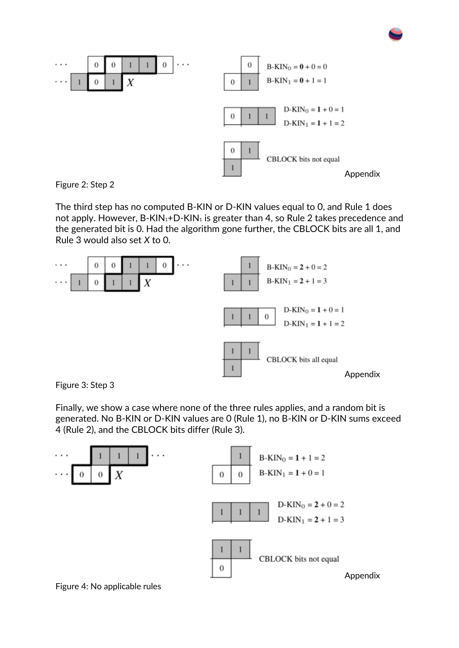



The third step has no computed B-KIN or D-KIN values equal to 0, and Rule 1 does not apply. However,  $B-KIN_1+D-KIN_1$  is greater than 4, so Rule 2 takes precedence and the generated bit is 0. Had the algorithm gone further, the CBLOCK bits are all 1, and Rule 3 would also set *X* to 0.



Figure 3: Step 3

Finally, we show a case where none of the three rules applies, and a random bit is generated. No B-KIN or D-KIN values are 0 (Rule 1), no B-KIN or D-KIN sums exceed 4 (Rule 2), and the CBLOCK bits differ (Rule 3).

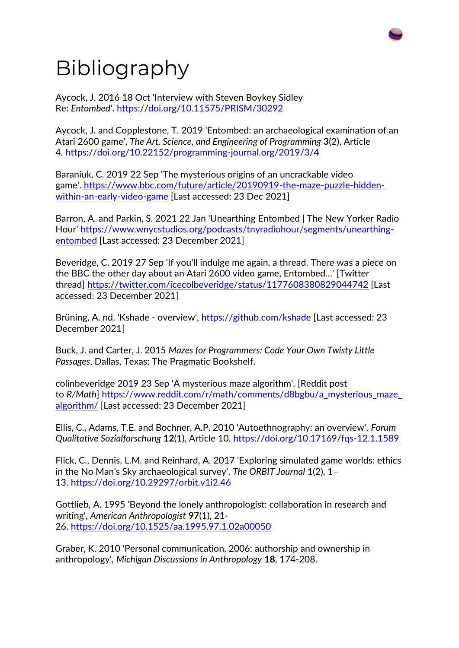# Bibliography

Aycock, J. 2016 18 Oct 'Interview with Steven Boykey Sidley Re: *Entombed*'. <https://doi.org/10.11575/PRISM/30292>

Aycock, J. and Copplestone, T. 2019 'Entombed: an archaeological examination of an Atari 2600 game', *The Art, Science, and Engineering of Programming* **3**(2), Article 4. <https://doi.org/10.22152/programming-journal.org/2019/3/4>

Baraniuk, C. 2019 22 Sep 'The mysterious origins of an uncrackable video game'. [https://www.bbc.com/future/article/20190919-the-maze-puzzle-hidden](https://www.bbc.com/future/article/20190919-the-maze-puzzle-hidden-within-an-early-video-game)[within-an-early-video-game](https://www.bbc.com/future/article/20190919-the-maze-puzzle-hidden-within-an-early-video-game) [Last accessed: 23 Dec 2021]

Barron, A. and Parkin, S. 2021 22 Jan 'Unearthing Entombed | The New Yorker Radio Hour' [https://www.wnycstudios.org/podcasts/tnyradiohour/segments/unearthing](https://www.wnycstudios.org/podcasts/tnyradiohour/segments/unearthing-entombed)[entombed](https://www.wnycstudios.org/podcasts/tnyradiohour/segments/unearthing-entombed) [Last accessed: 23 December 2021]

Beveridge, C. 2019 27 Sep 'If you'll indulge me again, a thread. There was a piece on the BBC the other day about an Atari 2600 video game, Entombed…' [Twitter thread] <https://twitter.com/icecolbeveridge/status/1177608380829044742> [Last accessed: 23 December 2021]

Brüning, A. nd. 'Kshade - overview', <https://github.com/kshade> [Last accessed: 23 December 2021]

Buck, J. and Carter, J. 2015 *Mazes for Programmers: Code Your Own Twisty Little Passages*, Dallas, Texas: The Pragmatic Bookshelf.

colinbeveridge 2019 23 Sep 'A mysterious maze algorithm'. [Reddit post to *R/Math*] [https://www.reddit.com/r/math/comments/d8bgbu/a\\_mysterious\\_maze\\_](https://www.reddit.com/r/math/comments/d8bgbu/a_mysterious_maze_algorithm/) [algorithm/](https://www.reddit.com/r/math/comments/d8bgbu/a_mysterious_maze_algorithm/) [Last accessed: 23 December 2021]

Ellis, C., Adams, T.E. and Bochner, A.P. 2010 'Autoethnography: an overview', *Forum Qualitative Sozialforschung* **12**(1), Article 10. <https://doi.org/10.17169/fqs-12.1.1589>

Flick, C., Dennis, L.M. and Reinhard, A. 2017 'Exploring simulated game worlds: ethics in the No Man's Sky archaeological survey', *The ORBIT Journal* **1**(2), 1– 13. <https://doi.org/10.29297/orbit.v1i2.46>

Gottlieb, A. 1995 'Beyond the lonely anthropologist: collaboration in research and writing', *American Anthropologist* **97**(1), 21- 26. <https://doi.org/10.1525/aa.1995.97.1.02a00050>

Graber, K. 2010 'Personal communication, 2006: authorship and ownership in anthropology', *Michigan Discussions in Anthropology* **18**, 174-208.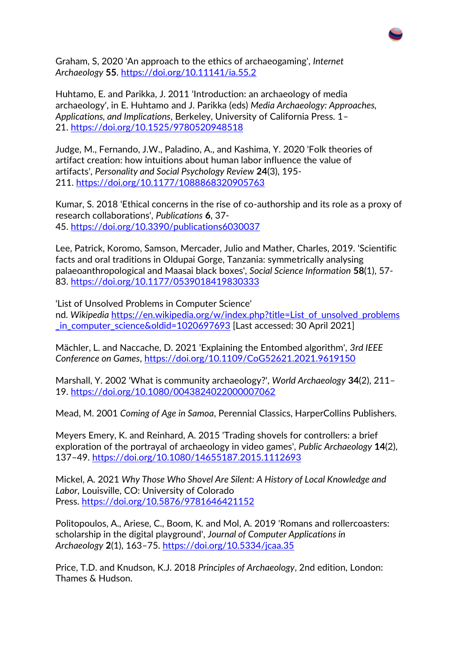

Graham, S, 2020 'An approach to the ethics of archaeogaming', *Internet Archaeology* **55**. <https://doi.org/10.11141/ia.55.2>

Huhtamo, E. and Parikka, J. 2011 'Introduction: an archaeology of media archaeology', in E. Huhtamo and J. Parikka (eds) *Media Archaeology: Approaches, Applications, and Implications*, Berkeley, University of California Press. 1– 21. <https://doi.org/10.1525/9780520948518>

Judge, M., Fernando, J.W., Paladino, A., and Kashima, Y. 2020 'Folk theories of artifact creation: how intuitions about human labor influence the value of artifacts', *Personality and Social Psychology Review* **24**(3), 195- 211. <https://doi.org/10.1177/1088868320905763>

Kumar, S. 2018 'Ethical concerns in the rise of co-authorship and its role as a proxy of research collaborations', *Publications* **6**, 37- 45. <https://doi.org/10.3390/publications6030037>

Lee, Patrick, Koromo, Samson, Mercader, Julio and Mather, Charles, 2019. 'Scientific facts and oral traditions in Oldupai Gorge, Tanzania: symmetrically analysing palaeoanthropological and Maasai black boxes', *Social Science Information* **58**(1), 57- 83. <https://doi.org/10.1177/0539018419830333>

'List of Unsolved Problems in Computer Science' nd. *Wikipedia* [https://en.wikipedia.org/w/index.php?title=List\\_of\\_unsolved\\_problems](https://en.wikipedia.org/w/index.php?title=List_of_unsolved_problems_in_computer_science&oldid=1020697693) in\_computer\_science&oldid=1020697693 [Last accessed: 30 April 2021]

Mächler, L. and Naccache, D. 2021 'Explaining the Entombed algorithm', *3rd IEEE Conference on Games*, <https://doi.org/10.1109/CoG52621.2021.9619150>

Marshall, Y. 2002 'What is community archaeology?', *World Archaeology* **34**(2), 211– 19. <https://doi.org/10.1080/0043824022000007062>

Mead, M. 2001 *Coming of Age in Samoa*, Perennial Classics, HarperCollins Publishers.

Meyers Emery, K. and Reinhard, A. 2015 'Trading shovels for controllers: a brief exploration of the portrayal of archaeology in video games', *Public Archaeology* **14**(2), 137–49. <https://doi.org/10.1080/14655187.2015.1112693>

Mickel, A. 2021 *Why Those Who Shovel Are Silent: A History of Local Knowledge and Labor*, Louisville, CO: University of Colorado Press. <https://doi.org/10.5876/9781646421152>

Politopoulos, A., Ariese, C., Boom, K. and Mol, A. 2019 'Romans and rollercoasters: scholarship in the digital playground', *Journal of Computer Applications in Archaeology* **2**(1), 163–75. <https://doi.org/10.5334/jcaa.35>

Price, T.D. and Knudson, K.J. 2018 *Principles of Archaeology*, 2nd edition, London: Thames & Hudson.